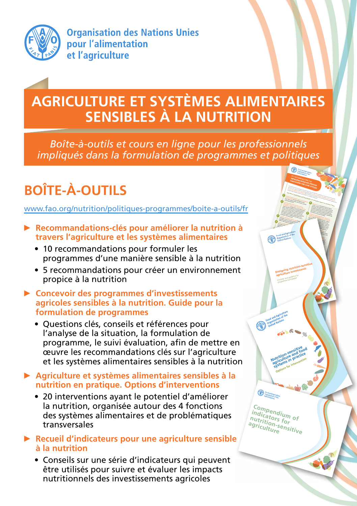

**Organisation des Nations Unies** pour l'alimentation et l'agriculture

## **AGRICULTURE ET SYSTÈMES ALIMENTAIRES SENSIBLES À LA NUTRITION**

*Boîte-à-outils et cours en ligne pour les professionnels impliqués dans la formulation de programmes et politiques*

> **Incorporate explicit nutrition objectives and indicators into their design,** and track and mitigate potential harms, while seeking synergies with economic, social and environmental objectives. **Assess the context at the local level, to design appropriate activities to address the types and causes of malnutrition,** including chronic or acute undernutrition, vitamin and mineral deficiencies, and obesity and chronic income, access to productive resources such as land, market opportunities and infrastructure, gender dynamics and roles, opportunities for collaboration with other sectors or programmes, and local priorities. **Target the vulnerable and improve equity** through participation, access to resources, and decent employment. Vulnerable groups include smallholders, women, youth, the landless, urban dwellers, the unemployed. **Collaborate and coordinate with other sectors** (health, environment, social protection, labour, water and sanitation, education, energy) and programmes, through joint strategies with common goals, to address concurrently the multiple **Maintain or improve the natural resource base** (water, Food, and Agriculture Food and Agriculatie Food anualism of the<br>Droganization of the to reduce vector and to ensure sustainable. h orașul

**Designing nutrition-sensitive Designing numerities** Checklist and guidance for programme formulation

**Nutrition-sensitive**<br>Nutrition-sensitive<br>Nutriculture practic **Autrition-sensitive od**<br>**Autrition-sensitive**<br>agriculture in practice **systems** in practice<br>systems in practice<br>systems intervention **Curve in Privention**<br>**Distems for intervention**<br>Options for intervention

**Compendium of indicators for nutrition-sensitive agriculture**

**Dimension** 

**Empower women** by ensuring access to productive resources, income opportunities, extension services and information, credit, labour and time-saving technologies (including energy and water services), and supporting their voice in household and farming decisions. Equitable opportunities to earn and learn should be compatible with safe pregnancy and young child feeding. **Facilitate production diversification, and increase production of nutrient-dense crops and small-scale livestock** (for example, horticultural products, legumes, livestock and fish at a small scale, underutilized crops, and biofortified crops). Diversified production systems are important to vulnerable producers to enable resilience to climate and price shocks, more diverse food consumption, reduction of seasonal food and income fluctuations, and greater and more gender-equitable income generation. **Improve processing, storage and preservation** to retain nutritional value, shelf-life, and food safety, to reduce seasonality of food insecurity and post-harvest losses, and to **Expand markets and market access for vulnerable groups, particularly for marketing nutritious foods** or products vulnerable groups have a comparative advantage in producing. This can include innovative promotion (such as  $\blacksquare$  $\blacksquare$ **Incorporate nutrition promotion and education** around food and sustainable food systems that builds on existing local knowledge, attitudes and properties. Nutrition  $\mathcal{L}_{\mathcal{A}}$ knowledge can enhance the income  $\mathcal{L}$ in rural households, especially important for women and  $\mathcal{L}_{\mathcal{A}}$ 

**Agricultural programmes and investments can strengthen impact on nutrition if they:** Food systems provide for all people's nutritional needs, while at the same time contributing to economic growth. The food and agriculture sector has the primary role in feeding people well by **increasing availability, affordability, and consumption of diverse, safe, nutritious foods and diets,**aligned with dietary recommendations and environmental sustainability. Applying these principles helps strengthen resilience and contributes to sustainable development. KEY RECOMMENDATIONS FOR **IMPROVING NUTRITION TOP** AGRICULTURE AND FOOD SYSTEMS

## **BOÎTE-À-OUTILS**

www.fao.org/nutrition/politiques-programmes/boite-a-outils/fr

- ► **Recommandations-clés pour améliorer la nutrition à travers l'agriculture et les systèmes alimentaires**
	- 10 recommandations pour formuler les programmes d'une manière sensible à la nutrition
	- 5 recommandations pour créer un environnement propice à la nutrition
- ► **Concevoir des programmes d'investissements agricoles sensibles à la nutrition. Guide pour la formulation de programmes**
	- Questions clés, conseils et références pour l'analyse de la situation, la formulation de programme, le suivi évaluation, afin de mettre en œuvre les recommandations clés sur l'agriculture et les systèmes alimentaires sensibles à la nutrition
- ► **Agriculture et systèmes alimentaires sensibles à la nutrition en pratique. Options d'interventions** 
	- 20 interventions ayant le potentiel d'améliorer la nutrition, organisée autour des 4 fonctions des systèmes alimentaires et de problématiques transversales
- ► **Recueil d'indicateurs pour une agriculture sensible à la nutrition**
	- Conseils sur une série d'indicateurs qui peuvent être utilisés pour suivre et évaluer les impacts nutritionnels des investissements agricoles